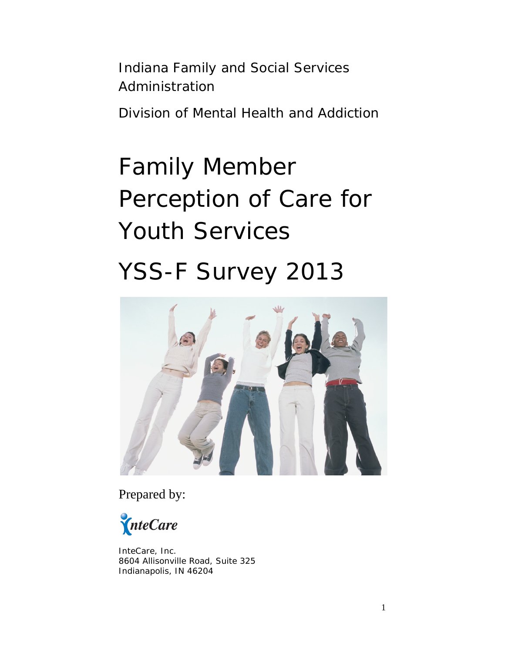Indiana Family and Social Services Administration

Division of Mental Health and Addiction

# Family Member Perception of Care for Youth Services YSS-F Survey 2013



Prepared by:

InteCare

InteCare, Inc. 8604 Allisonville Road, Suite 325 Indianapolis, IN 46204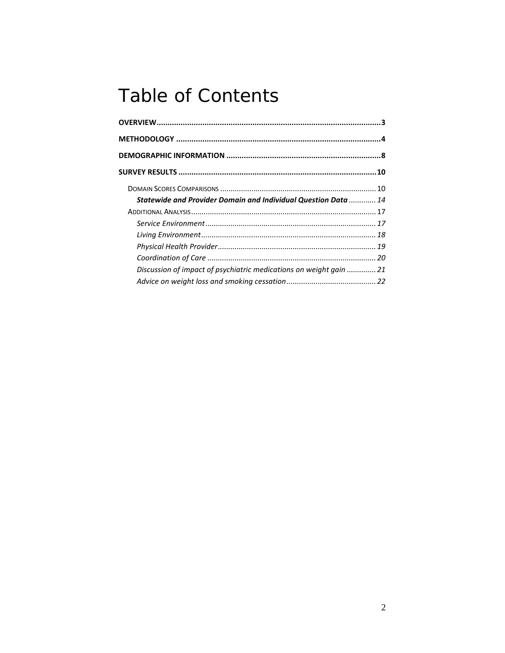# **Table of Contents**

| Statewide and Provider Domain and Individual Question Data  14     |  |
|--------------------------------------------------------------------|--|
|                                                                    |  |
|                                                                    |  |
|                                                                    |  |
|                                                                    |  |
|                                                                    |  |
| Discussion of impact of psychiatric medications on weight gain  21 |  |
|                                                                    |  |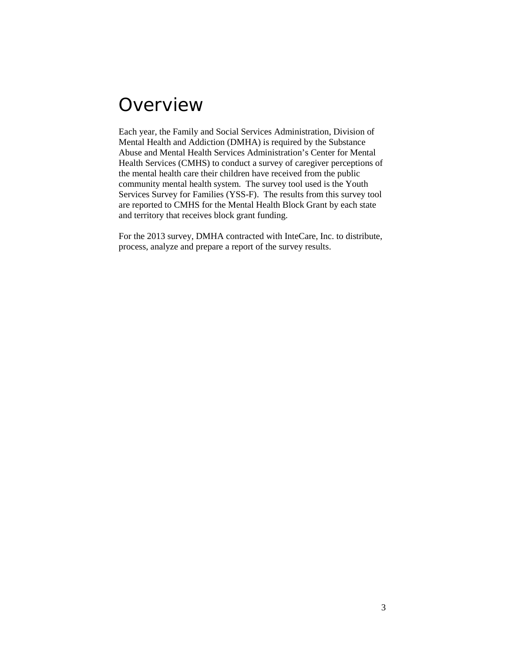## <span id="page-2-0"></span>**Overview**

Each year, the Family and Social Services Administration, Division of Mental Health and Addiction (DMHA) is required by the Substance Abuse and Mental Health Services Administration's Center for Mental Health Services (CMHS) to conduct a survey of caregiver perceptions of the mental health care their children have received from the public community mental health system. The survey tool used is the Youth Services Survey for Families (YSS-F). The results from this survey tool are reported to CMHS for the Mental Health Block Grant by each state and territory that receives block grant funding.

For the 2013 survey, DMHA contracted with InteCare, Inc. to distribute, process, analyze and prepare a report of the survey results.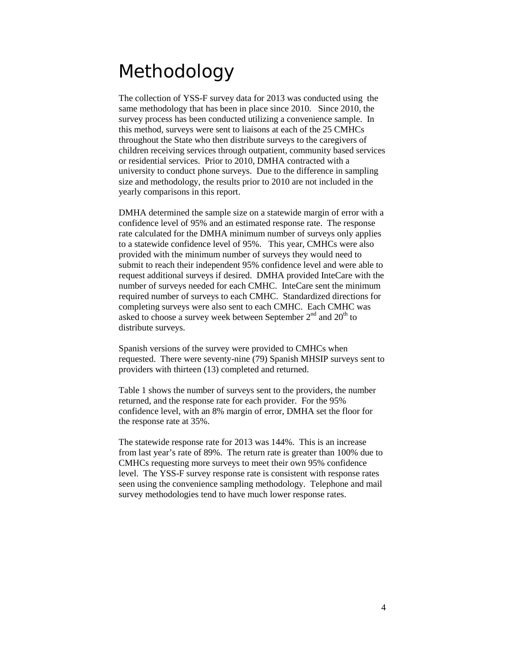# <span id="page-3-0"></span>Methodology

The collection of YSS-F survey data for 2013 was conducted using the same methodology that has been in place since 2010. Since 2010, the survey process has been conducted utilizing a convenience sample. In this method, surveys were sent to liaisons at each of the 25 CMHCs throughout the State who then distribute surveys to the caregivers of children receiving services through outpatient, community based services or residential services. Prior to 2010, DMHA contracted with a university to conduct phone surveys. Due to the difference in sampling size and methodology, the results prior to 2010 are not included in the yearly comparisons in this report.

DMHA determined the sample size on a statewide margin of error with a confidence level of 95% and an estimated response rate. The response rate calculated for the DMHA minimum number of surveys only applies to a statewide confidence level of 95%. This year, CMHCs were also provided with the minimum number of surveys they would need to submit to reach their independent 95% confidence level and were able to request additional surveys if desired. DMHA provided InteCare with the number of surveys needed for each CMHC. InteCare sent the minimum required number of surveys to each CMHC. Standardized directions for completing surveys were also sent to each CMHC. Each CMHC was asked to choose a survey week between September  $2<sup>nd</sup>$  and  $20<sup>th</sup>$  to distribute surveys.

Spanish versions of the survey were provided to CMHCs when requested. There were seventy-nine (79) Spanish MHSIP surveys sent to providers with thirteen (13) completed and returned.

Table 1 shows the number of surveys sent to the providers, the number returned, and the response rate for each provider. For the 95% confidence level, with an 8% margin of error, DMHA set the floor for the response rate at 35%.

The statewide response rate for 2013 was 144%. This is an increase from last year's rate of 89%. The return rate is greater than 100% due to CMHCs requesting more surveys to meet their own 95% confidence level. The YSS-F survey response rate is consistent with response rates seen using the convenience sampling methodology. Telephone and mail survey methodologies tend to have much lower response rates.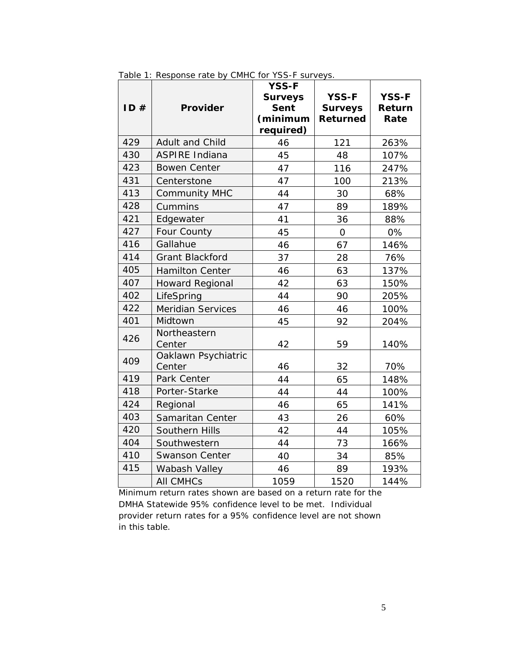|     |                          | <b>YSS-F</b>   |                 |              |
|-----|--------------------------|----------------|-----------------|--------------|
|     |                          | <b>Surveys</b> | <b>YSS-F</b>    | <b>YSS-F</b> |
| ID# | Provider                 | Sent           | <b>Surveys</b>  | Return       |
|     |                          | (minimum       | <b>Returned</b> | Rate         |
|     |                          | required)      |                 |              |
| 429 | Adult and Child          | 46             | 121             | 263%         |
| 430 | <b>ASPIRE Indiana</b>    | 45             | 48              | 107%         |
| 423 | <b>Bowen Center</b>      | 47             | 116             | 247%         |
| 431 | Centerstone              | 47             | 100             | 213%         |
| 413 | <b>Community MHC</b>     | 44             | 30              | 68%          |
| 428 | Cummins                  | 47             | 89              | 189%         |
| 421 | Edgewater                | 41             | 36              | 88%          |
| 427 | Four County              | 45             | $\overline{O}$  | 0%           |
| 416 | Gallahue                 | 46             | 67              | 146%         |
| 414 | <b>Grant Blackford</b>   | 37             | 28              | 76%          |
| 405 | <b>Hamilton Center</b>   | 46             | 63              | 137%         |
| 407 | <b>Howard Regional</b>   | 42             | 63              | 150%         |
| 402 | LifeSpring               | 44             | 90              | 205%         |
| 422 | <b>Meridian Services</b> | 46             | 46              | 100%         |
| 401 | Midtown                  | 45             | 92              | 204%         |
| 426 | Northeastern             |                |                 |              |
|     | Center                   | 42             | 59              | 140%         |
| 409 | Oaklawn Psychiatric      |                |                 |              |
|     | Center                   | 46             | 32              | 70%          |
| 419 | Park Center              | 44             | 65              | 148%         |
| 418 | Porter-Starke            | 44             | 44              | 100%         |
| 424 | Regional                 | 46             | 65              | 141%         |
| 403 | Samaritan Center         | 43             | 26              | 60%          |
| 420 | Southern Hills           | 42             | 44              | 105%         |
| 404 | Southwestern             | 44             | 73              | 166%         |
| 410 | <b>Swanson Center</b>    | 40             | 34              | 85%          |
| 415 | Wabash Valley            | 46             | 89              | 193%         |
|     | <b>All CMHCs</b>         | 1059           | 1520            | 144%         |

Table 1: Response rate by CMHC for YSS-F surveys.

Minimum return rates shown are based on a return rate for the DMHA Statewide 95% confidence level to be met. Individual provider return rates for a 95% confidence level are not shown in this table.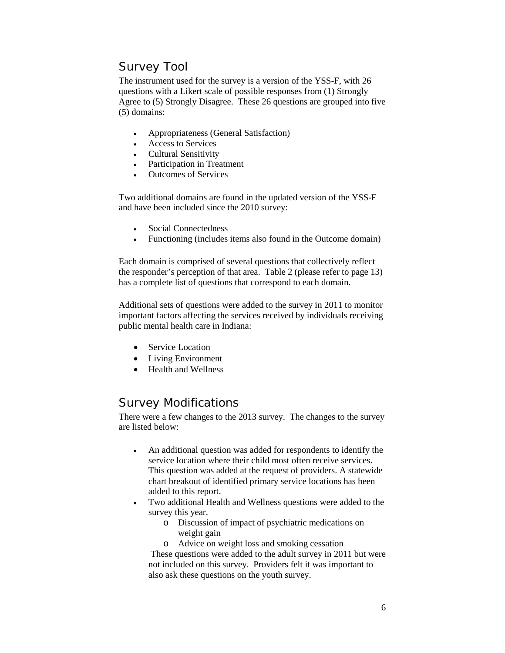#### Survey Tool

The instrument used for the survey is a version of the YSS-F, with 26 questions with a Likert scale of possible responses from (1) Strongly Agree to (5) Strongly Disagree. These 26 questions are grouped into five (5) domains:

- Appropriateness (General Satisfaction)
- Access to Services
- Cultural Sensitivity
- Participation in Treatment
- Outcomes of Services

Two additional domains are found in the updated version of the YSS-F and have been included since the 2010 survey:

- Social Connectedness
- Functioning (includes items also found in the Outcome domain)

Each domain is comprised of several questions that collectively reflect the responder's perception of that area. Table 2 (please refer to page 13) has a complete list of questions that correspond to each domain.

Additional sets of questions were added to the survey in 2011 to monitor important factors affecting the services received by individuals receiving public mental health care in Indiana:

- Service Location
- Living Environment
- Health and Wellness

#### Survey Modifications

There were a few changes to the 2013 survey. The changes to the survey are listed below:

- An additional question was added for respondents to identify the service location where their child most often receive services. This question was added at the request of providers. A statewide chart breakout of identified primary service locations has been added to this report.
- Two additional Health and Wellness questions were added to the survey this year.
	- o Discussion of impact of psychiatric medications on weight gain
	- o Advice on weight loss and smoking cessation

These questions were added to the adult survey in 2011 but were not included on this survey. Providers felt it was important to also ask these questions on the youth survey.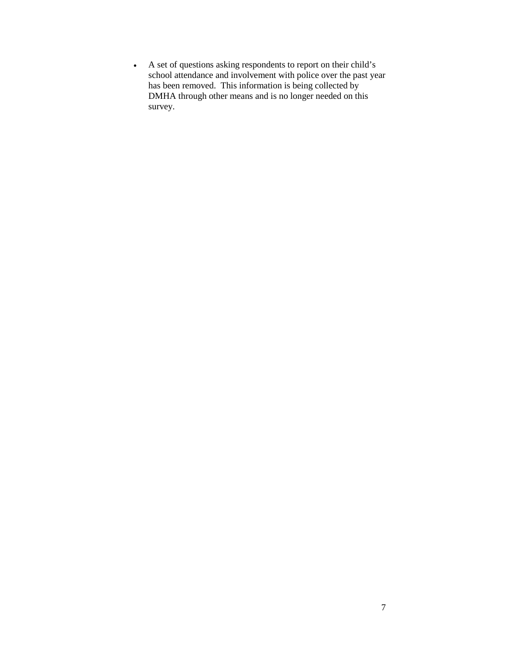• A set of questions asking respondents to report on their child's school attendance and involvement with police over the past year has been removed. This information is being collected by DMHA through other means and is no longer needed on this survey.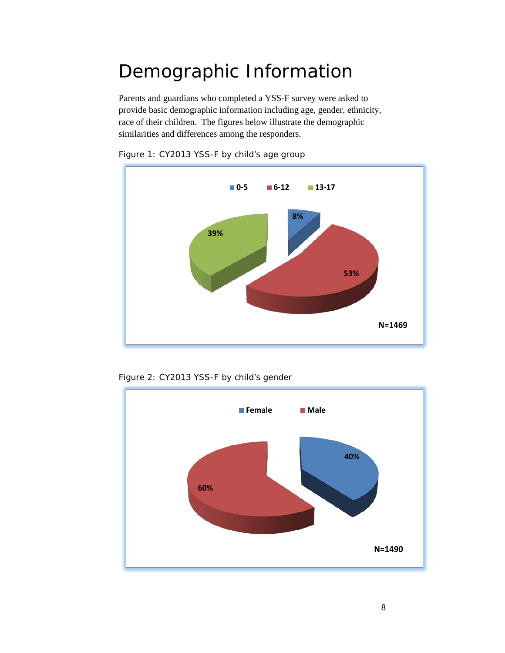# <span id="page-7-0"></span>Demographic Information

Parents and guardians who completed a YSS-F survey were asked to provide basic demographic information including age, gender, ethnicity, race of their children. The figures below illustrate the demographic similarities and differences among the responders.



Figure 1: CY2013 YSS-F by child's age group



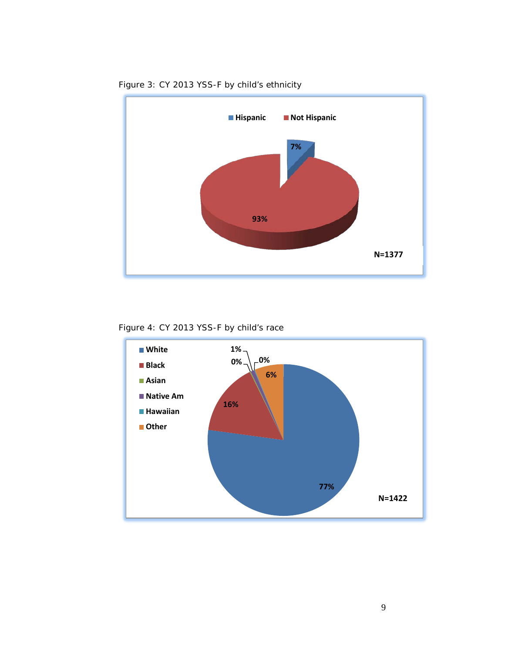

Figure 3: CY 2013 YSS-F by child's ethnicity

Figure 4: CY 2013 YSS-F by child's race

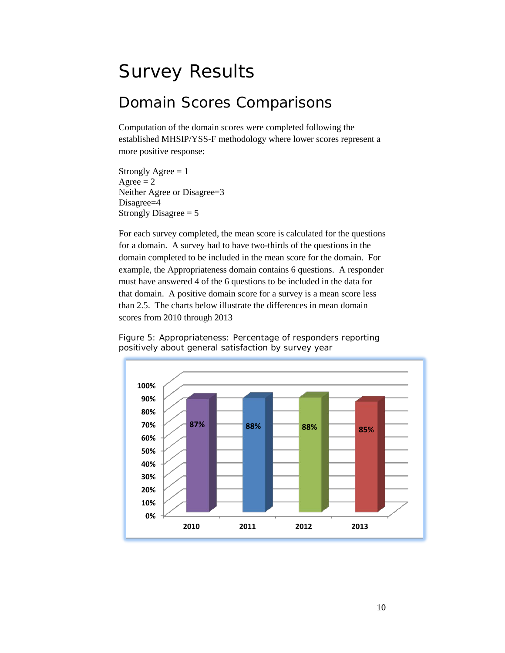# <span id="page-9-0"></span>Survey Results

#### <span id="page-9-1"></span>Domain Scores Comparisons

Computation of the domain scores were completed following the established MHSIP/YSS-F methodology where lower scores represent a more positive response:

Strongly Agree  $= 1$  $A<sub>g</sub>$ ree = 2 Neither Agree or Disagree=3 Disagree=4 Strongly Disagree  $= 5$ 

For each survey completed, the mean score is calculated for the questions for a domain. A survey had to have two-thirds of the questions in the domain completed to be included in the mean score for the domain. For example, the Appropriateness domain contains 6 questions. A responder must have answered 4 of the 6 questions to be included in the data for that domain. A positive domain score for a survey is a mean score less than 2.5. The charts below illustrate the differences in mean domain scores from 2010 through 2013

Figure 5: Appropriateness: Percentage of responders reporting positively about general satisfaction by survey year

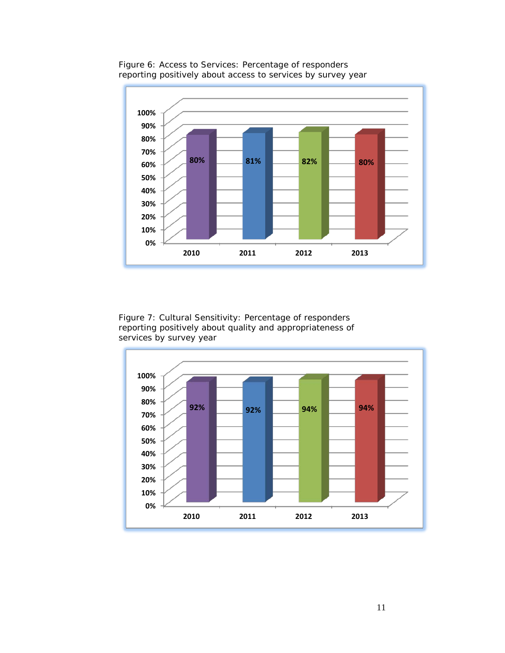

Figure 6: Access to Services: Percentage of responders reporting positively about access to services by survey year

Figure 7: Cultural Sensitivity: Percentage of responders reporting positively about quality and appropriateness of services by survey year

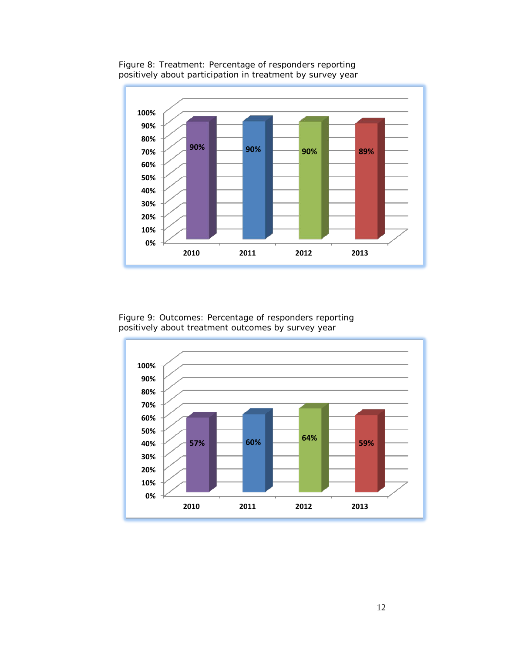

Figure 8: Treatment: Percentage of responders reporting positively about participation in treatment by survey year

Figure 9: Outcomes: Percentage of responders reporting positively about treatment outcomes by survey year

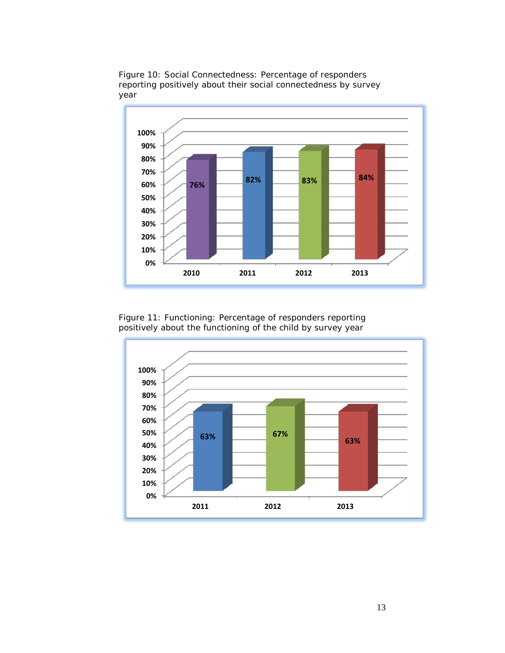

Figure 10: Social Connectedness: Percentage of responders reporting positively about their social connectedness by survey year

Figure 11: Functioning: Percentage of responders reporting positively about the functioning of the child by survey year

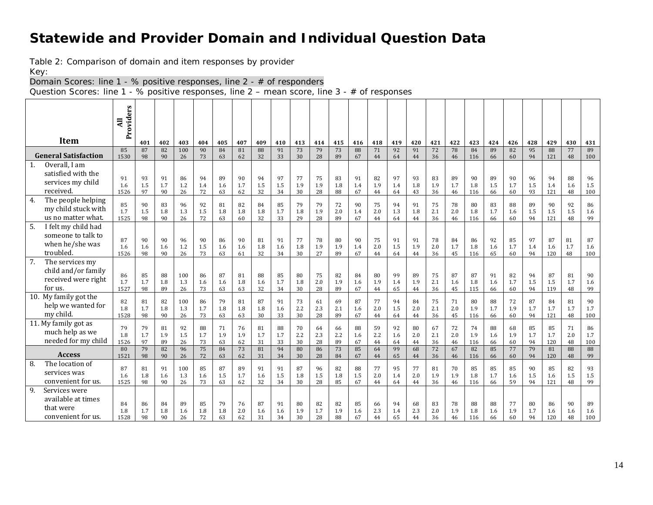#### **Statewide and Provider Domain and Individual Question Data**

Table 2: Comparison of domain and item responses by provider

Key:

Domain Scores: line 1 - % positive responses, line 2 - # of responders

Question Scores: line 1 - % positive responses, line 2 – mean score, line 3 - # of responses

<span id="page-13-0"></span>

|                              | Providers<br>Ę |           |           |            |           |           |           |           |           |           |           |           |           |           |           |           |           |           |            |           |           |           |            |           |            |
|------------------------------|----------------|-----------|-----------|------------|-----------|-----------|-----------|-----------|-----------|-----------|-----------|-----------|-----------|-----------|-----------|-----------|-----------|-----------|------------|-----------|-----------|-----------|------------|-----------|------------|
|                              |                |           |           |            |           |           |           |           |           |           |           |           |           |           |           |           |           |           |            |           |           |           |            |           |            |
| <b>Item</b>                  |                | 401       | 402       | 403        | 404       | 405       | 407       | 409       | 410       | 413       | 414       | 415       | 416       | 418       | 419       | 420       | 421       | 422       | 423        | 424       | 426       | 428       | 429        | 430       | 431<br>89  |
| <b>General Satisfaction</b>  | 85<br>1530     | 87<br>98  | 82<br>90  | 100<br>26  | 90<br>73  | 84<br>63  | 81<br>62  | 88<br>32  | 91<br>33  | 73<br>30  | 79<br>28  | 73<br>89  | 88<br>67  | 71<br>44  | 92<br>64  | 91<br>44  | 72<br>36  | 78<br>46  | 84<br>116  | 89<br>66  | 82<br>60  | 95<br>94  | 88<br>121  | 77<br>48  | 100        |
| Overall, I am<br>1.          |                |           |           |            |           |           |           |           |           |           |           |           |           |           |           |           |           |           |            |           |           |           |            |           |            |
| satisfied with the           | 91             | 93        | 91        | 86         | 94        | 89        | 90        | 94        | 97        | 77        | 75        | 83        | 91        | 82        | 97        | 93        | 83        | 89        | 90         | 89        | 90        | 96        | 94         | 88        | 96         |
| services my child            | 1.6            | 1.5       | 1.7       | 1.2        | 1.4       | 1.6       | 1.7       | 1.5       | 1.5       | 1.9       | 1.9       | 1.8       | 1.4       | 1.9       | 1.4       | 1.8       | 1.9       | 1.7       | 1.8        | 1.5       | 1.7       | 1.5       | 1.4        | 1.6       | 1.5        |
| received.                    | 1526           | 97        | 90        | 26         | 72        | 63        | 62        | 32        | 34        | 30        | 28        | 88        | 67        | 44        | 64        | 43        | 36        | 46        | 116        | 66        | 60        | 93        | 121        | 48        | 100        |
| The people helping<br>4.     | 85             | 90        | 83        | 96         | 92        | 81        | 82        | 84        | 85        | 79        | 79        | 72        | 90        | 75        | 94        | 91        | 75        | 78        | 80         | 83        | 88        | 89        | 90         | 92        | 86         |
| my child stuck with          | 1.7            | 1.5       | 1.8       | 1.3        | 1.5       | 1.8       | 1.8       | 1.8       | 1.7       | 1.8       | 1.9       | 2.0       | 1.4       | 2.0       | 1.3       | 1.8       | 2.1       | 2.0       | 1.8        | 1.7       | 1.6       | 1.5       | 1.5        | 1.5       | 1.6        |
| us no matter what.           | 1525           | 98        | 90        | 26         | 72        | 63        | 60        | 32        | 33        | 29        | 28        | 89        | 67        | 44        | 64        | 44        | 36        | 46        | 116        | 66        | 60        | 94        | 121        | 48        | 99         |
| 5.<br>I felt my child had    |                |           |           |            |           |           |           |           |           |           |           |           |           |           |           |           |           |           |            |           |           |           |            |           |            |
| someone to talk to           | 87             | 90        | 90        | 96         | 90        | 86        | 90        | 81        | 91        | 77        | 78        | 80        | 90        | 75        | 91        | 91        | 78        | 84        | 86         | 92        | 85        | 97        | 87         | 81        | 87         |
| when he/she was<br>troubled. | 1.6            | 1.6       | 1.6       | 1.2        | 1.5       | 1.6       | 1.6       | 1.8       | 1.6       | 1.8       | 1.9       | 1.9       | 1.4       | 2.0       | 1.5       | 1.9       | 2.0       | 1.7       | 1.8        | 1.6       | 1.7       | 1.4       | 1.6        | 1.7       | 1.6        |
| 7.<br>The services my        | 1526           | 98        | 90        | 26         | 73        | 63        | 61        | 32        | 34        | 30        | 27        | 89        | 67        | 44        | 64        | 44        | 36        | 45        | 116        | 65        | 60        | 94        | 120        | 48        | 100        |
| child and/or family          |                |           |           |            |           |           |           |           |           |           |           |           |           |           |           |           |           |           |            |           |           |           |            |           |            |
| received were right          | 86             | 85        | 88        | 100        | 86        | 87        | 81        | 88        | 85        | 80        | 75        | 82        | 84        | 80        | 99        | 89        | 75        | 87        | 87         | 91        | 82        | 94        | 87         | 81        | 90         |
| for us.                      | 1.7<br>1527    | 1.7<br>98 | 1.8<br>89 | 1.3<br>26  | 1.6<br>73 | 1.6<br>63 | 1.8<br>63 | 1.6<br>32 | 1.7<br>34 | 1.8<br>30 | 2.0<br>28 | 1.9<br>89 | 1.6<br>67 | 1.9<br>44 | 1.4<br>65 | 1.9<br>44 | 2.1<br>36 | 1.6<br>45 | 1.8<br>115 | 1.6<br>66 | 1.7<br>60 | 1.5<br>94 | 1.5<br>119 | 1.7<br>48 | 1.6<br>99  |
| 10. My family got the        |                |           |           |            |           |           |           |           |           |           |           |           |           |           |           |           |           |           |            |           |           |           |            |           |            |
| help we wanted for           | 82<br>1.8      | 81<br>1.7 | 82<br>1.8 | 100<br>1.3 | 86<br>1.7 | 79<br>1.8 | 81<br>1.8 | 87<br>1.8 | 91<br>1.6 | 73<br>2.2 | 61<br>2.3 | 69<br>2.1 | 87<br>1.6 | 77<br>2.0 | 94<br>1.5 | 84<br>2.0 | 75<br>2.1 | 71<br>2.0 | 80<br>1.9  | 88<br>1.7 | 72<br>1.9 | 87<br>1.7 | 84<br>1.7  | 81<br>1.7 | 90<br>1.7  |
| my child.                    | 1528           | 98        | 90        | 26         | 73        | 63        | 63        | 30        | 33        | 30        | 28        | 89        | 67        | 44        | 64        | 44        | 36        | 45        | 116        | 66        | 60        | 94        | 121        | 48        | 100        |
| 11. My family got as         |                |           |           |            |           |           |           |           |           |           |           |           |           |           |           |           |           |           |            |           |           |           |            |           |            |
| much help as we              | 79<br>1.8      | 79<br>1.7 | 81<br>1.9 | 92<br>1.5  | 88<br>1.7 | 71<br>1.9 | 76<br>1.9 | 81<br>1.7 | 88<br>1.7 | 70<br>2.2 | 64<br>2.3 | 66<br>2.2 | 88<br>1.6 | 59<br>2.2 | 92<br>1.6 | 80<br>2.0 | 67<br>2.1 | 72<br>2.0 | 74<br>1.9  | 88<br>1.6 | 68<br>1.9 | 85<br>1.7 | 85<br>1.7  | 71<br>2.0 | 86<br>1.7  |
| needed for my child          | 1526           | 97        | 89        | 26         | 73        | 63        | 62        | 31        | 33        | 30        | 28        | 89        | 67        | 44        | 64        | 44        | 36        | 46        | 116        | 66        | 60        | 94        | 120        | 48        | 100        |
| <b>Access</b>                | 80             | 79        | 82        | 96         | 75        | 84        | 73        | 81        | 94        | 80        | 86        | 73        | 85        | 64        | 99        | 68        | 72        | 67        | 82         | 85        | 77        | 79        | 81         | 88        | 88         |
| The location of<br>8.        | 1521           | 98        | 90        | 26         | 72        | 63        | 62        | 31        | 34        | 30        | 28        | 84        | 67        | 44        | 65        | 44        | 36        | 46        | 116        | 66        | 60        | 94        | 120        | 48        | 99         |
| services was                 | 87             | 81        | 91        | 100        | 85        | 87        | 89        | 91        | 91        | 87        | 96        | 82        | 88        | 77        | 95        | 77        | 81        | 70        | 85         | 85        | 85        | 90        | 85         | 82        | 93         |
| convenient for us.           | 1.6<br>1525    | 1.8<br>98 | 1.6<br>90 | 1.3<br>26  | 1.6<br>73 | 1.5<br>63 | 1.7<br>62 | 1.6<br>32 | 1.5<br>34 | 1.8<br>30 | 1.5<br>28 | 1.8<br>85 | 1.5<br>67 | 2.0<br>44 | 1.4<br>64 | 2.0<br>44 | 1.9<br>36 | 1.9<br>46 | 1.8<br>116 | 1.7<br>66 | 1.6<br>59 | 1.5<br>94 | 1.6<br>121 | 1.5<br>48 | 1.5<br>99  |
| 9.<br>Services were          |                |           |           |            |           |           |           |           |           |           |           |           |           |           |           |           |           |           |            |           |           |           |            |           |            |
| available at times           |                |           |           |            |           |           |           |           |           |           |           |           |           |           |           |           |           |           |            |           |           |           |            |           |            |
| that were                    | 84             | 86        | 84        | 89         | 85        | 79        | 76        | 87        | 91        | 80        | 82        | 82        | 85        | 66        | 94        | 68        | 83        | 78        | 88         | 88        | 77        | 80        | 86         | 90        | 89         |
| convenient for us.           | 1.8<br>1528    | 1.7<br>98 | 1.8<br>90 | 1.6<br>26  | 1.8<br>72 | 1.8<br>63 | 2.0<br>62 | 1.6<br>31 | 1.6<br>34 | 1.9<br>30 | 1.7<br>28 | 1.9<br>88 | 1.6<br>67 | 2.3<br>44 | 1.4<br>65 | 2.3<br>44 | 2.0<br>36 | 1.9<br>46 | 1.8<br>116 | 1.6<br>66 | 1.9<br>60 | 1.7<br>94 | 1.6<br>120 | 1.6<br>48 | 1.6<br>100 |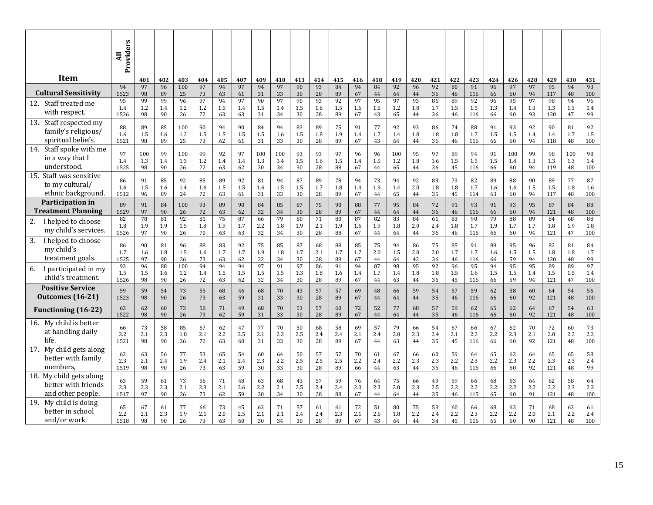|                                                                        | Providers<br>$\overline{a}$ |                  |                 |                  |                 |                 |                 |                  |                  |                 |                 |                 |                 |                 |                  |                 |                 |                 |                  |                 |                  |                 |                  |                  |                      |
|------------------------------------------------------------------------|-----------------------------|------------------|-----------------|------------------|-----------------|-----------------|-----------------|------------------|------------------|-----------------|-----------------|-----------------|-----------------|-----------------|------------------|-----------------|-----------------|-----------------|------------------|-----------------|------------------|-----------------|------------------|------------------|----------------------|
| Item                                                                   |                             | 401              | 402             | 403              | 404             | 405             | 407             | 409              | 410              | 413             | 414             | 415             | 416             | 418             | 419              | 420             | 421             | 422             | 423              | 424             | 426              | 428             | 429              | 430              | 431                  |
| <b>Cultural Sensitivity</b>                                            | 94                          | 97               | 96              | 100              | 97              | 94              | 97              | 94               | 97               | 90              | 93              | 84              | 94              | 84              | 92               | 96              | 92              | 80              | 91               | 96              | 97               | 97              | 95               | 94               | 93                   |
|                                                                        | 1523                        | 98               | 89              | 25               | 73              | 63              | 61              | 31               | 33               | 30              | 28              | 89              | 67              | 44              | 64               | 44              | 36              | 46              | 116              | 66              | 60               | 94              | 117              | 48               | 100                  |
| 12. Staff treated me<br>with respect.                                  | 95<br>1.4<br>1526           | 99<br>1.2<br>98  | 99<br>1.4<br>90 | 96<br>1.2<br>26  | 97<br>1.2<br>72 | 94<br>1.5<br>63 | 97<br>1.4<br>63 | 90<br>1.5<br>31  | 97<br>1.4<br>34  | 90<br>1.5<br>30 | 93<br>1.6<br>28 | 92<br>1.5<br>89 | 97<br>1.6<br>67 | 95<br>1.5<br>43 | 97<br>1.2<br>65  | 93<br>1.8<br>44 | 86<br>1.7<br>36 | 89<br>1.5<br>46 | 92<br>1.5<br>116 | 96<br>1.3<br>66 | 95<br>1.4<br>60  | 97<br>1.3<br>93 | 98<br>1.3<br>120 | 94<br>1.3<br>47  | 96<br>1.4<br>99      |
| Staff respected my<br>13.<br>family's religious/<br>spiritual beliefs. | 88<br>1.6<br>1521           | 89<br>1.5<br>98  | 85<br>1.6<br>89 | 100<br>1.2<br>25 | 90<br>1.5<br>73 | 94<br>1.5<br>62 | 90<br>1.5<br>61 | 84<br>1.5<br>31  | 94<br>1.6<br>33  | 83<br>1.5<br>30 | 89<br>1.8<br>28 | 75<br>1.9<br>89 | 91<br>1.4<br>67 | 77<br>1.7<br>43 | 92<br>1.4<br>64  | 93<br>1.8<br>44 | 86<br>1.8<br>36 | 74<br>1.8<br>46 | 88<br>1.7<br>116 | 91<br>1.5<br>66 | 93<br>1.5<br>60  | 92<br>1.4<br>94 | 90<br>1.4<br>118 | 81<br>1.7<br>48  | 92<br>$1.5\,$<br>100 |
| 14.<br>Staff spoke with me<br>in a way that I<br>understood.           | 97<br>1.4<br>1525           | 100<br>1.3<br>98 | 99<br>1.4<br>90 | 100<br>1.3<br>26 | 99<br>1.2<br>72 | 92<br>1.4<br>63 | 97<br>1.4<br>62 | 100<br>1.3<br>30 | 100<br>1.4<br>34 | 93<br>1.5<br>30 | 93<br>1.6<br>28 | 97<br>1.5<br>88 | 96<br>1.4<br>67 | 96<br>1.5<br>44 | 100<br>1.2<br>65 | 95<br>1.8<br>44 | 97<br>1.6<br>36 | 89<br>1.5<br>45 | 94<br>1.5<br>116 | 91<br>1.5<br>66 | 100<br>1.4<br>60 | 99<br>1.3<br>94 | 98<br>1.3<br>119 | 100<br>1.3<br>48 | 98<br>1.4<br>100     |
| 15. Staff was sensitive                                                | 86                          | 91               | 85              | 92               | 85              | 89              | 92              | 81               | 94               | 87              | 89              | 78              | 94              | 73              | 94               | 92              | 89              | 73              | 82               | 89              | 88               | 90              | 89               | 77               | 87                   |
| to my cultural/                                                        | 1.6                         | 1.5              | 1.6             | 1.4              | 1.6             | 1.5             | 1.5             | 1.6              | 1.5              | 1.5             | 1.7             | 1.8             | 1.4             | 1.9             | 1.4              | 2.0             | 1.8             | 1.8             | 1.7              | 1.6             | 1.6              | 1.5             | 1.5              | 1.8              | 1.6                  |
| ethnic background.                                                     | 1512                        | 96               | 89              | 24               | 72              | 63              | 61              | 31               | 33               | 30              | 28              | 89              | 67              | 44              | 65               | 44              | 35              | 45              | 114              | 63              | 60               | 94              | 117              | 48               | 100                  |
| Participation in                                                       | 89                          | 91               | 84              | 100              | 93              | 89              | 90              | 84               | 85               | 87              | 75              | 90              | 88              | 77              | 95               | 84              | 72              | 91              | 93               | 91              | 93               | 95              | 87               | 84               | 88                   |
| <b>Treatment Planning</b>                                              | 1529                        | 97               | 90              | 26               | 72              | 63              | 62              | 32               | 34               | 30              | 28              | 89              | 67              | 44              | 64               | 44              | 36              | 46              | 116              | 66              | 60               | 94              | 121              | 48               | 100                  |
| I helped to choose                                                     | 82                          | 78               | 81              | 92               | 81              | 75              | 87              | 66               | 79               | 80              | 71              | 80              | 87              | 82              | 83               | 84              | 61              | 83              | 90               | 79              | 88               | 89              | 84               | 68               | 88                   |
| 2.                                                                     | 1.8                         | 1.9              | 1.9             | 1.5              | 1.8             | 1.9             | 1.7             | 2.2              | 1.8              | 1.9             | 2.1             | 1.9             | 1.6             | 1.9             | 1.8              | 2.0             | 2.4             | 1.8             | 1.7              | 1.9             | 1.7              | 1.7             | 1.8              | 1.9              | 1.8                  |
| my child's services.                                                   | 1526                        | 97               | 90              | 26               | 70              | 63              | 63              | 32               | 34               | 30              | 28              | 88              | 67              | 44              | 64               | 44              | 36              | 46              | 116              | 66              | 60               | 94              | 121              | 47               | 100                  |
| 3.<br>I helped to choose<br>my child's<br>treatment goals.             | 86<br>1.7<br>1525           | 90<br>1.6<br>97  | 81<br>1.8<br>90 | 96<br>1.5<br>26  | 88<br>1.6<br>73 | 83<br>1.7<br>63 | 92<br>1.7<br>62 | 75<br>1.9<br>32  | 85<br>1.8<br>34  | 87<br>1.7<br>30 | 68<br>2.1<br>28 | 88<br>1.7<br>89 | 85<br>1.7<br>67 | 75<br>2.0<br>44 | 94<br>1.5<br>64  | 86<br>2.0<br>42 | 75<br>2.0<br>36 | 85<br>1.7<br>46 | 91<br>1.7<br>116 | 89<br>1.6<br>66 | 95<br>1.5<br>59  | 96<br>1.5<br>94 | 82<br>1.8<br>120 | 81<br>1.8<br>48  | 84<br>1.7<br>99      |
| I participated in my                                                   | 93                          | 96               | 88              | 100              | 94              | 94              | 94              | 97               | 91               | 97              | 86              | 91              | 94              | 87              | 98               | 95              | 92              | 96              | 95               | 94              | 95               | 95              | 89               | 89               | 97                   |
| 6.                                                                     | 1.5                         | 1.5              | 1.6             | 1.2              | 1.4             | 1.5             | 1.5             | 1.5              | 1.5              | 1.3             | 1.8             | 1.6             | 1.4             | 1.7             | 1.4              | 1.8             | 1.8             | 1.5             | 1.6              | 1.5             | 1.5              | 1.4             | 1.5              | 1.5              | 1.4                  |
| child's treatment.                                                     | 1526                        | 98               | 90              | 26               | 72              | 63              | 62              | 32               | 34               | 30              | 28              | 89              | 67              | 44              | 63               | 44              | 36              | 45              | 116              | 66              | 59               | 94              | 121              | 47               | 100                  |
| <b>Positive Service</b>                                                | 59                          | 59               | 54              | 73               | 55              | 68              | 46              | 68               | 70               | 43              | 57              | 57              | 69              | 48              | 66               | 59              | 54              | 57              | 59               | 62              | 58               | 60              | 64               | 54               | 56                   |
| <b>Outcomes</b> (16-21)                                                | 1523                        | 98               | 90              | 26               | 73              | 63              | 59              | 31               | 33               | 30              | 28              | 89              | 67              | 44              | 64               | $\bf 44$        | 35              | 46              | 116              | 66              | 60               | 92              | 121              | 48               | 100                  |
| <b>Functioning (16-22)</b>                                             | 63                          | 62               | 60              | 73               | 58              | $71\,$          | 49              | 68               | 70               | 53              | 57              | 60              | 72              | 52              | 77               | 68              | 57              | 59              | 62               | 65              | 62               | 64              | 67               | 54               | 63                   |
|                                                                        | 1522                        | 98               | 90              | 26               | 73              | 62              | 59              | 31               | 33               | 30              | 28              | 89              | 67              | 44              | 64               | 44              | 35              | 46              | 116              | 66              | 60               | 92              | 121              | 48               | 100                  |
| 16. My child is better                                                 | 66                          | 73               | 58              | 85               | 67              | 62              | 47              | 77               | 70               | 50              | 68              | 58              | 69              | 57              | 79               | 66              | 54              | 67              | 66               | 67              | 62               | 70              | 72               | 60               | 73                   |
| at handling daily                                                      | 2.2                         | 2.1              | 2.3             | 1.8              | 2.1             | 2.2             | 2.5             | 2.1              | 2.2              | 2.5             | 2.4             | 2.4             | 2.1             | 2.4             | 2.0              | 2.3             | 2.4             | 2.1             | 2.2              | 2.2             | 2.3              | 2.1             | 2.0              | 2.2              | 2.2                  |
| life.                                                                  | 1521                        | 98               | 90              | 26               | 72              | 63              | 60              | 31               | 33               | 30              | 28              | 89              | 67              | 44              | 63               | 44              | 35              | 45              | 116              | 66              | 60               | 92              | 121              | 48               | 100                  |
| My child gets along<br>17.<br>better with family<br>members.           | 62<br>2.3<br>1519           | 63<br>2.1<br>98  | 56<br>2.4<br>90 | 77<br>1.9<br>26  | 53<br>2.4<br>73 | 65<br>2.1<br>63 | 54<br>2.4<br>59 | 60<br>2.3<br>30  | 64<br>2.2<br>33  | 50<br>2.5<br>30 | 57<br>2.5<br>28 | 57<br>2.5<br>89 | 70<br>2.2<br>66 | 61<br>2.4<br>44 | 67<br>2.2<br>63  | 66<br>2.3<br>44 | 60<br>2.3<br>35 | 59<br>2.2<br>46 | 64<br>2.3<br>116 | 65<br>2.2<br>66 | 62<br>2.3<br>60  | 64<br>2.2<br>92 | 65<br>2.3<br>121 | 65<br>2.3<br>48  | 58<br>2.4<br>99      |
| 18. My child gets along                                                | 63                          | 59               | 61              | 73               | 56              | 71              | 48              | 63               | 68               | 43              | 57              | 59              | 76              | 64              | 75               | 66              | 49              | 59              | 66               | 68              | 63               | 64              | 62               | 58               | 64                   |
| better with friends                                                    | 2.3                         | 2.3              | 2.3             | 2.1              | 2.3             | 2.1             | 2.6             | 2.2              | 2.1              | 2.5             | 2.4             | 2.4             | 2.0             | 2.3             | 2.0              | 2.3             | 2.5             | 2.2             | 2.2              | 2.2             | 2.2              | 2.2             | 2.2              | 2.3              | 2.3                  |
| and other people.                                                      | 1517                        | 97               | 90              | 26               | 73              | 62              | 59              | 30               | 34               | 30              | 28              | 88              | 67              | 44              | 64               | 44              | 35              | 46              | 115              | 65              | 60               | 91              | 121              | 48               | 100                  |
| My child is doing<br>19.<br>better in school<br>and/or work.           | 65<br>2.2<br>1518           | 67<br>2.1<br>98  | 61<br>2.3<br>90 | 77<br>1.9<br>26  | 66<br>2.1<br>73 | 73<br>2.0<br>63 | 45<br>2.5<br>60 | 63<br>2.1<br>30  | 71<br>2.1<br>34  | 57<br>2.4<br>30 | 61<br>2.4<br>28 | 61<br>2.3<br>89 | 72<br>2.1<br>67 | 51<br>2.6<br>43 | 80<br>1.8<br>64  | 75<br>2.2<br>44 | 53<br>2.4<br>34 | 60<br>2.2<br>45 | 66<br>2.3<br>116 | 68<br>2.2<br>65 | 63<br>2.2<br>60  | 71<br>2.0<br>90 | 68<br>2.1<br>121 | 63<br>2.2<br>48  | 61<br>2.4<br>100     |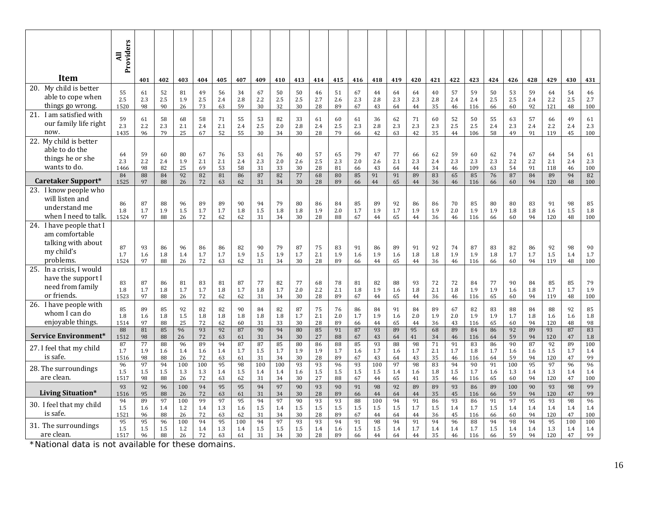|                                                                                                | Providers<br>$\overline{a}$ |                       |                       |                       |                       |                       |                       |                       |                       |                       |                       |                       |                       |                       |                       |                       |                       |                       |                        |                       |                       |                       |                        |                       |                        |
|------------------------------------------------------------------------------------------------|-----------------------------|-----------------------|-----------------------|-----------------------|-----------------------|-----------------------|-----------------------|-----------------------|-----------------------|-----------------------|-----------------------|-----------------------|-----------------------|-----------------------|-----------------------|-----------------------|-----------------------|-----------------------|------------------------|-----------------------|-----------------------|-----------------------|------------------------|-----------------------|------------------------|
| <b>Item</b>                                                                                    |                             | 401                   | 402                   | 403                   | 404                   | 405                   | 407                   | 409                   | 410                   | 413                   | 414                   | 415                   | 416                   | 418                   | 419                   | 420                   | 421                   | 422                   | 423                    | 424                   | 426                   | 428                   | 429                    | 430                   | 431                    |
| My child is better<br>20.<br>able to cope when<br>things go wrong.                             | 55<br>2.5<br>1520           | 61<br>2.3<br>98       | 52<br>2.5<br>90       | 81<br>1.9<br>26       | 49<br>2.5<br>73       | 56<br>2.4<br>63       | 34<br>2.8<br>59       | 67<br>2.2<br>30       | 50<br>2.5<br>32       | 50<br>2.5<br>30       | 46<br>2.7<br>28       | 51<br>2.6<br>89       | 67<br>2.3<br>67       | 44<br>2.8<br>43       | 64<br>2.3<br>64       | 64<br>2.3<br>44       | 40<br>2.8<br>35       | 57<br>$2.4\,$<br>46   | 59<br>2.4<br>116       | 50<br>2.5<br>66       | 53<br>2.5<br>60       | 59<br>2.4<br>92       | 64<br>2.2<br>121       | 54<br>2.5<br>48       | 46<br>2.7<br>100       |
| I am satisfied with<br>21.<br>our family life right<br>now.                                    | 59<br>2.3<br>1435           | 61<br>2.2<br>96       | 58<br>2.3<br>79       | 68<br>2.1<br>25       | 58<br>2.4<br>67       | 71<br>2.1<br>52       | 55<br>2.4<br>55       | 53<br>2.5<br>30       | 82<br>2.0<br>34       | 33<br>2.8<br>30       | 61<br>2.4<br>28       | 60<br>2.5<br>79       | 61<br>2.3<br>66       | 36<br>2.8<br>42       | 62<br>2.3<br>63       | 71<br>2.3<br>42       | 60<br>2.3<br>35       | 52<br>2.5<br>44       | 50<br>2.5<br>106       | 55<br>2.4<br>58       | 63<br>2.3<br>49       | 57<br>2.4<br>91       | 66<br>2.2<br>119       | 49<br>2.4<br>45       | 61<br>2.3<br>100       |
| My child is better<br>22.<br>able to do the<br>things he or she<br>wants to do.                | 64<br>2.3<br>1466<br>84     | 59<br>2.2<br>98<br>88 | 60<br>2.4<br>82<br>84 | 80<br>1.9<br>25<br>92 | 67<br>2.1<br>69<br>82 | 76<br>2.1<br>53<br>81 | 53<br>2.4<br>58<br>86 | 61<br>2.3<br>31<br>87 | 76<br>2.0<br>33<br>82 | 40<br>2.6<br>30<br>77 | 57<br>2.5<br>28<br>68 | 65<br>2.3<br>81<br>80 | 79<br>2.0<br>66<br>85 | 47<br>2.6<br>43<br>91 | 77<br>2.1<br>64<br>91 | 66<br>2.3<br>44<br>89 | 62<br>2.4<br>34<br>83 | 59<br>2.3<br>46<br>65 | 60<br>2.3<br>109<br>85 | 62<br>2.3<br>63<br>76 | 74<br>2.2<br>54<br>87 | 67<br>2.2<br>91<br>84 | 64<br>2.1<br>118<br>89 | 54<br>2.4<br>46<br>94 | 61<br>2.3<br>100<br>82 |
| Caretaker Support*                                                                             | 1525                        | 97                    | 88                    | 26                    | 72                    | 63                    | 62                    | 31                    | 34                    | 30                    | 28                    | 89                    | 66                    | 44                    | 65                    | 44                    | 36                    | 46                    | 116                    | 66                    | 60                    | 94                    | 120                    | 48                    | 100                    |
| 23. I know people who<br>will listen and<br>understand me<br>when I need to talk.              | 86<br>1.8<br>1524           | 87<br>1.7<br>97       | 88<br>1.9<br>88       | 96<br>1.5<br>26       | 89<br>1.7<br>72       | 89<br>1.7<br>62       | 90<br>1.8<br>62       | 94<br>1.5<br>31       | 79<br>1.8<br>34       | 80<br>1.8<br>30       | 86<br>1.9<br>28       | 84<br>2.0<br>88       | 85<br>1.7<br>67       | 89<br>1.9<br>44       | 92<br>1.7<br>65       | 86<br>1.9<br>44       | 86<br>1.9<br>36       | 70<br>2.0<br>46       | 85<br>1.9<br>116       | 80<br>1.9<br>66       | 80<br>1.8<br>60       | 83<br>1.8<br>94       | 91<br>1.6<br>120       | 98<br>1.5<br>48       | 85<br>1.8<br>100       |
| I have people that I<br>24.<br>am comfortable<br>talking with about<br>my child's<br>problems. | 87<br>1.7<br>1524           | 93<br>1.6<br>97       | 86<br>1.8<br>88       | 96<br>1.4<br>26       | 86<br>1.7<br>72       | 86<br>1.7<br>63       | 82<br>1.9<br>62       | 90<br>1.5<br>31       | 79<br>1.9<br>34       | 87<br>1.7<br>30       | 75<br>2.1<br>28       | 83<br>1.9<br>89       | 91<br>1.6<br>66       | 86<br>1.9<br>44       | 89<br>1.6<br>65       | 91<br>1.8<br>44       | 92<br>1.8<br>36       | 74<br>1.9<br>46       | 87<br>1.9<br>116       | 83<br>1.8<br>66       | 82<br>1.7<br>60       | 86<br>1.7<br>94       | 92<br>1.5<br>119       | 98<br>1.4<br>48       | 90<br>1.7<br>100       |
| In a crisis, I would<br>25.<br>have the support I<br>need from family<br>or friends.           | 83<br>1.8<br>1523           | 87<br>1.7<br>97       | 86<br>1.8<br>88       | 81<br>1.7<br>26       | 83<br>1.7<br>72       | 81<br>1.8<br>62       | 87<br>1.7<br>62       | 77<br>1.8<br>31       | 82<br>1.7<br>34       | 77<br>2.0<br>30       | 68<br>2.2<br>28       | 78<br>2.1<br>89       | 81<br>1.8<br>67       | 82<br>1.9<br>44       | 88<br>1.6<br>65       | 93<br>1.8<br>44       | 72<br>2.1<br>36       | 72<br>1.8<br>46       | 84<br>1.9<br>116       | 77<br>1.9<br>65       | 90<br>1.6<br>60       | 84<br>1.8<br>94       | 85<br>1.7<br>119       | 85<br>1.7<br>48       | 79<br>1.9<br>100       |
| I have people with<br>26.<br>whom I can do<br>enjoyable things.                                | 85<br>1.8<br>1514           | 89<br>1.6<br>97       | 85<br>1.8<br>88       | 92<br>1.5<br>25       | 82<br>1.8<br>72       | 82<br>1.8<br>62       | 90<br>1.8<br>60       | 84<br>1.8<br>31       | 82<br>1.8<br>33       | 87<br>1.7<br>30       | 75<br>2.1<br>28       | 76<br>2.0<br>89       | 86<br>1.7<br>66       | 84<br>1.9<br>44       | 91<br>1.6<br>65       | 84<br>2.0<br>44       | 89<br>1.9<br>36       | 67<br>2.0<br>43       | 82<br>1.9<br>116       | 83<br>1.9<br>65       | 88<br>1.7<br>60       | 84<br>1.8<br>94       | 88<br>1.6<br>120       | 92<br>1.6<br>48       | 85<br>1.8<br>$98\,$    |
| Service Environment*                                                                           | 88<br>1512                  | 81<br>98              | 85<br>88              | 96<br>26              | 93<br>72              | 92<br>63              | 87<br>61              | 90<br>31              | 94<br>34              | 80<br>30              | 85<br>27              | 91<br>88              | 87<br>67              | 93<br>43              | 89<br>64              | 95<br>41              | 68<br>34              | 89<br>46              | 84<br>116              | 86<br>64              | 92<br>59              | 89<br>94              | 93<br>120              | 87<br>47              | 83<br>1.8              |
| 27. I feel that my child<br>is safe.                                                           | 87<br>1.7<br>1516           | 77<br>1.9<br>98       | 88<br>1.6<br>88       | 96<br>1.4<br>26       | 89<br>1.6<br>72       | 94<br>1.4<br>63       | 87<br>1.7<br>61       | 87<br>1.5<br>31       | 85<br>1.7<br>34       | 80<br>1.9<br>30       | 86<br>1.9<br>28       | 88<br>1.7<br>89       | 85<br>1.6<br>67       | 93<br>1.7<br>43       | 88<br>1.6<br>64       | 98<br>1.7<br>43       | 71<br>2.1<br>35       | 91<br>1.7<br>46       | 83<br>1.8<br>116       | 86<br>1.7<br>64       | 90<br>1.6<br>59       | 87<br>1.6<br>94       | 92<br>1.5<br>120       | 89<br>1.7<br>47       | 100<br>1.4<br>99       |
| 28. The surroundings<br>are clean.                                                             | 96<br>1.5<br>1517           | 97<br>1.5<br>98       | 94<br>1.5<br>88       | 100<br>1.3<br>26      | 100<br>1.3<br>72      | 95<br>1.4<br>63       | 98<br>1.5             | 100<br>1.4<br>31      | 100<br>1.4<br>34      | 93<br>1.6<br>30       | 93<br>1.5<br>27       | 96<br>1.5<br>88       | 93<br>1.5<br>67       | 100<br>1.5<br>44      | 97<br>1.4<br>65       | 98<br>1.6             | 83<br>1.8<br>35       | 94<br>1.5             | 90<br>1.7              | 91<br>1.6             | 100<br>1.3<br>60      | 95<br>1.4<br>94       | 97<br>1.3<br>120       | 96<br>1.4<br>47       | 96<br>1.4<br>100       |
| <b>Living Situation*</b>                                                                       | 93<br>1516                  | 92<br>95              | 96<br>88              | 100<br>26             | 94<br>72              | 95<br>63              | 62<br>95<br>61        | 94<br>31              | 97<br>34              | 90<br>30              | 93<br>28              | 90<br>89              | 91<br>66              | 98<br>44              | 92<br>64              | 41<br>89<br>44        | 89<br>35              | 46<br>93<br>45        | 116<br>86<br>116       | 65<br>89<br>66        | 100<br>59             | 90<br>94              | 93<br>120              | 98<br>47              | 99<br>99               |
| 30. I feel that my child<br>is safe.                                                           | 94<br>1.5<br>1521           | 89<br>1.6<br>96       | 97<br>1.4<br>88       | 100<br>1.2<br>26      | 99<br>1.4<br>72       | 97<br>1.3<br>63       | 95<br>1.6<br>62       | 94<br>1.5<br>31       | 97<br>1.4<br>34       | 90<br>1.5<br>30       | 93<br>1.5<br>28       | 93<br>1.5<br>89       | 88<br>1.5<br>67       | 100<br>1.5<br>44      | 94<br>1.5<br>64       | 91<br>1.7<br>44       | 86<br>1.5<br>36       | 93<br>1.4<br>45       | 86<br>1.7<br>116       | 91<br>1.5<br>66       | 97<br>1.4<br>60       | 95<br>1.4<br>94       | 93<br>1.4<br>120       | 98<br>1.4<br>47       | 96<br>1.4<br>100       |
| 31. The surroundings<br>are clean.                                                             | 95<br>1.5<br>1517           | 95<br>1.5<br>96       | 96<br>1.5<br>88       | 100<br>1.2<br>26      | 94<br>1.4<br>72       | 95<br>1.3<br>63       | 100<br>1.4<br>61      | 94<br>1.5<br>31       | 97<br>1.5<br>34       | 93<br>1.5<br>30       | 93<br>1.4<br>28       | 94<br>1.6<br>89       | 91<br>1.5<br>66       | 98<br>1.5<br>44       | 94<br>1.4<br>64       | 91<br>1.7<br>44       | 94<br>1.4<br>35       | 96<br>1.4<br>46       | 88<br>1.7<br>116       | 94<br>1.5<br>66       | 98<br>1.4<br>59       | 94<br>1.4<br>94       | 95<br>1.3<br>120       | 100<br>1.4<br>47      | 100<br>1.4<br>99       |

\*National data is not available for these domains.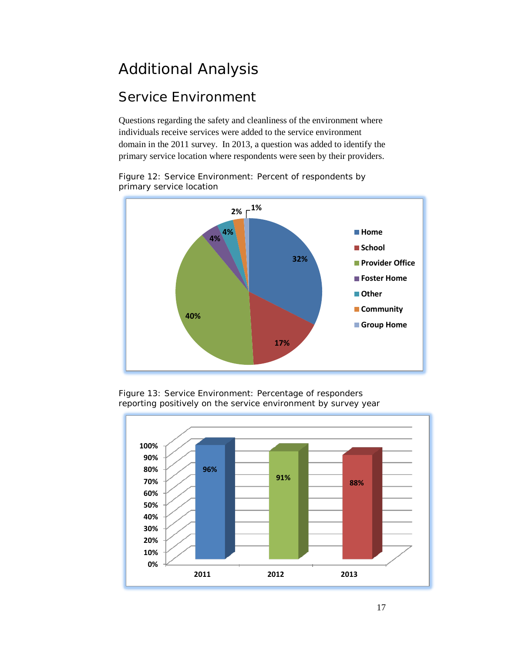## <span id="page-16-0"></span>Additional Analysis

#### <span id="page-16-1"></span>Service Environment

Questions regarding the safety and cleanliness of the environment where individuals receive services were added to the service environment domain in the 2011 survey. In 2013, a question was added to identify the primary service location where respondents were seen by their providers.

Figure 12: Service Environment: Percent of respondents by primary service location





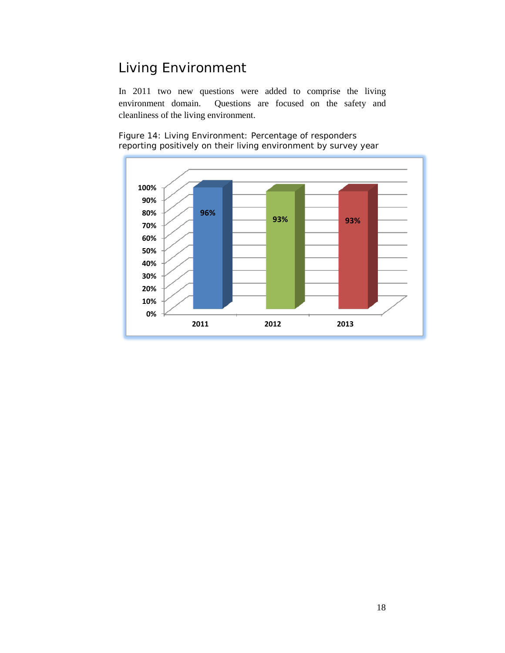#### <span id="page-17-0"></span>Living Environment

In 2011 two new questions were added to comprise the living environment domain. Questions are focused on the safety and cleanliness of the living environment.

Figure 14: Living Environment: Percentage of responders reporting positively on their living environment by survey year

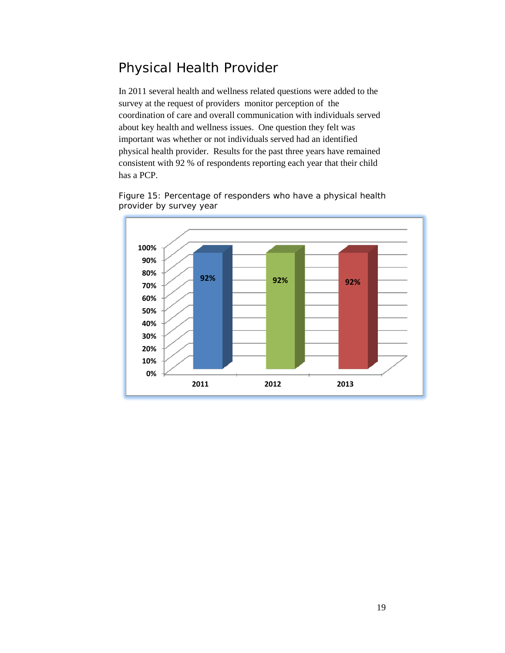#### <span id="page-18-0"></span>Physical Health Provider

In 2011 several health and wellness related questions were added to the survey at the request of providers monitor perception of the coordination of care and overall communication with individuals served about key health and wellness issues. One question they felt was important was whether or not individuals served had an identified physical health provider. Results for the past three years have remained consistent with 92 % of respondents reporting each year that their child has a PCP.

Figure 15: Percentage of responders who have a physical health provider by survey year

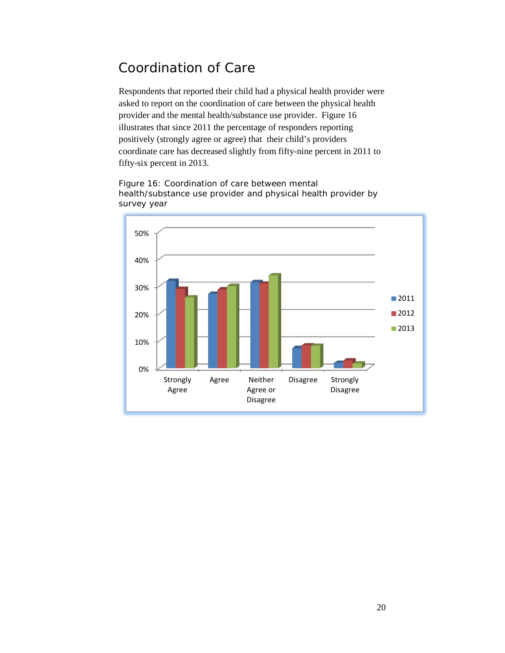#### <span id="page-19-0"></span>Coordination of Care

Respondents that reported their child had a physical health provider were asked to report on the coordination of care between the physical health provider and the mental health/substance use provider. Figure 16 illustrates that since 2011 the percentage of responders reporting positively (strongly agree or agree) that their child's providers coordinate care has decreased slightly from fifty-nine percent in 2011 to fifty-six percent in 2013.

Figure 16: Coordination of care between mental health/substance use provider and physical health provider by survey year

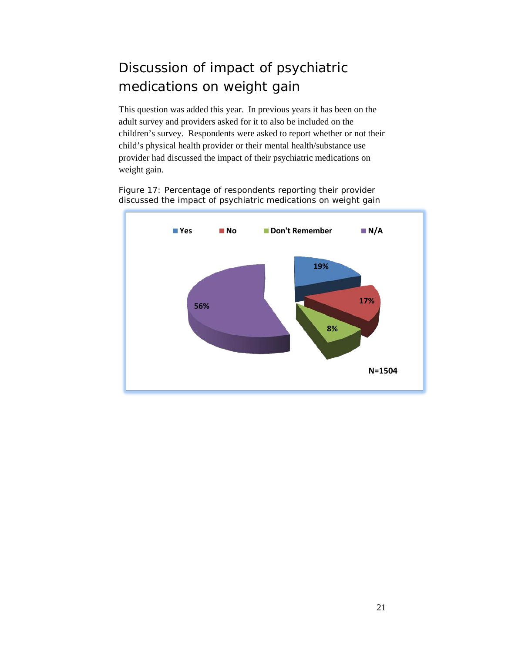## <span id="page-20-0"></span>Discussion of impact of psychiatric medications on weight gain

This question was added this year. In previous years it has been on the adult survey and providers asked for it to also be included on the children's survey. Respondents were asked to report whether or not their child's physical health provider or their mental health/substance use provider had discussed the impact of their psychiatric medications on weight gain.

Figure 17: Percentage of respondents reporting their provider discussed the impact of psychiatric medications on weight gain